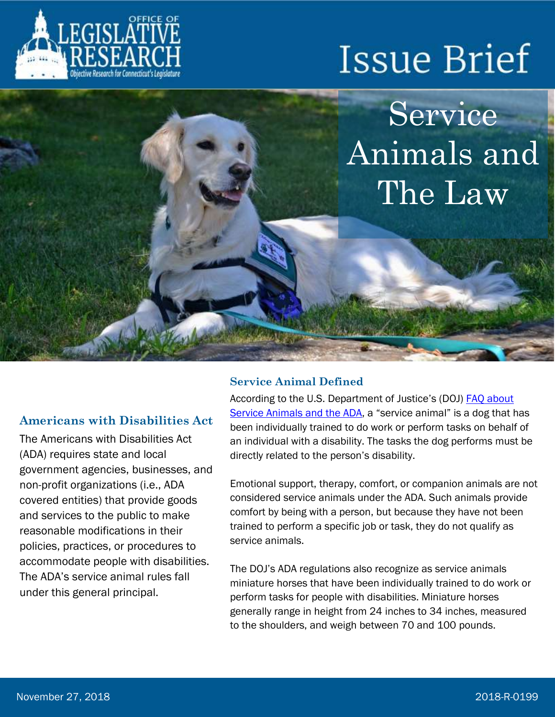



#### **Americans with Disabilities Act**

The Americans with Disabilities Act (ADA) requires state and local government agencies, businesses, and non-profit organizations (i.e., ADA covered entities) that provide goods and services to the public to make reasonable modifications in their policies, practices, or procedures to accommodate people with disabilities. The ADA's service animal rules fall under this general principal.

#### **Service Animal Defined**

According to the U.S. Department of Justice's (DOJ) [FAQ about](https://www.ada.gov/regs2010/service_animal_qa.html)  [Service Animals and the ADA](https://www.ada.gov/regs2010/service_animal_qa.html), a "service animal" is a dog that has been individually trained to do work or perform tasks on behalf of an individual with a disability. The tasks the dog performs must be directly related to the person's disability.

Emotional support, therapy, comfort, or companion animals are not considered service animals under the ADA. Such animals provide comfort by being with a person, but because they have not been trained to perform a specific job or task, they do not qualify as service animals.

The DOJ's ADA regulations also recognize as service animals miniature horses that have been individually trained to do work or perform tasks for people with disabilities. Miniature horses generally range in height from 24 inches to 34 inches, measured to the shoulders, and weigh between 70 and 100 pounds.